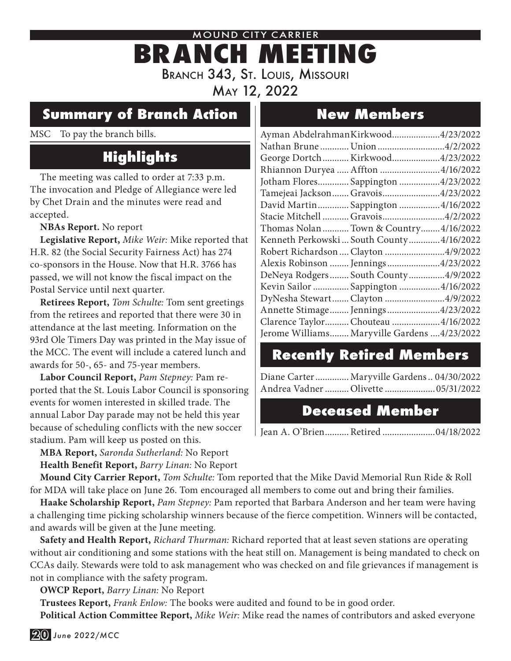## MOUND CITY CARRIER **BRANCH MEETING** Branch 343, St. Louis, Missouri May 12, 2022

### **Summary of Branch Action**

MSC To pay the branch bills.

## **Highlights**

The meeting was called to order at 7:33 p.m. The invocation and Pledge of Allegiance were led by Chet Drain and the minutes were read and accepted.

#### **NBAs Report.** No report

**Legislative Report,** *Mike Weir:* Mike reported that H.R. 82 (the Social Security Fairness Act) has 274 co-sponsors in the House. Now that H.R. 3766 has passed, we will not know the fiscal impact on the Postal Service until next quarter.

**Retirees Report,** *Tom Schulte:* Tom sent greetings from the retirees and reported that there were 30 in attendance at the last meeting. Information on the 93rd Ole Timers Day was printed in the May issue of the MCC. The event will include a catered lunch and awards for 50-, 65- and 75-year members.

**Labor Council Report,** *Pam Stepney:* Pam reported that the St. Louis Labor Council is sponsoring events for women interested in skilled trade. The annual Labor Day parade may not be held this year because of scheduling conflicts with the new soccer stadium. Pam will keep us posted on this.

**MBA Report,** *Saronda Sutherland:* No Report **Health Benefit Report,** *Barry Linan:* No Report

## **New Members**

| Ayman AbdelrahmanKirkwood4/23/2022          |  |
|---------------------------------------------|--|
| Nathan Brune  Union 4/2/2022                |  |
| George Dortch  Kirkwood4/23/2022            |  |
| Rhiannon Duryea  Affton 4/16/2022           |  |
| Jotham Flores Sappington 4/23/2022          |  |
| Tamejeai Jackson  Gravois 4/23/2022         |  |
| David Martin Sappington  4/16/2022          |  |
| Stacie Mitchell  Gravois4/2/2022            |  |
| Thomas Nolan  Town & Country 4/16/2022      |  |
| Kenneth Perkowski  South County  4/16/2022  |  |
| Robert Richardson  Clayton 4/9/2022         |  |
| Alexis Robinson  Jennings 4/23/2022         |  |
| DeNeya Rodgers South County4/9/2022         |  |
| Kevin Sailor  Sappington  4/16/2022         |  |
| DyNesha Stewart Clayton 4/9/2022            |  |
| Annette Stimage Jennings4/23/2022           |  |
| Clarence Taylor Chouteau  4/16/2022         |  |
| Jerome Williams Maryville Gardens 4/23/2022 |  |
|                                             |  |

### **Recently Retired Members**

Diane Carter.............. Maryville Gardens.. 04/30/2022 Andrea Vadner.......... Olivette .....................05/31/2022

#### **Deceased Member**

Jean A. O'Brien.......... Retired ......................04/18/2022

**Mound City Carrier Report,** *Tom Schulte:* Tom reported that the Mike David Memorial Run Ride & Roll for MDA will take place on June 26. Tom encouraged all members to come out and bring their families.

**Haake Scholarship Report,** *Pam Stepney:* Pam reported that Barbara Anderson and her team were having a challenging time picking scholarship winners because of the fierce competition. Winners will be contacted, and awards will be given at the June meeting.

**Safety and Health Report,** *Richard Thurman:* Richard reported that at least seven stations are operating without air conditioning and some stations with the heat still on. Management is being mandated to check on CCAs daily. Stewards were told to ask management who was checked on and file grievances if management is not in compliance with the safety program.

**OWCP Report,** *Barry Linan:* No Report

**Trustees Report,** *Frank Enlow:* The books were audited and found to be in good order.

**Political Action Committee Report,** *Mike Weir:* Mike read the names of contributors and asked everyone